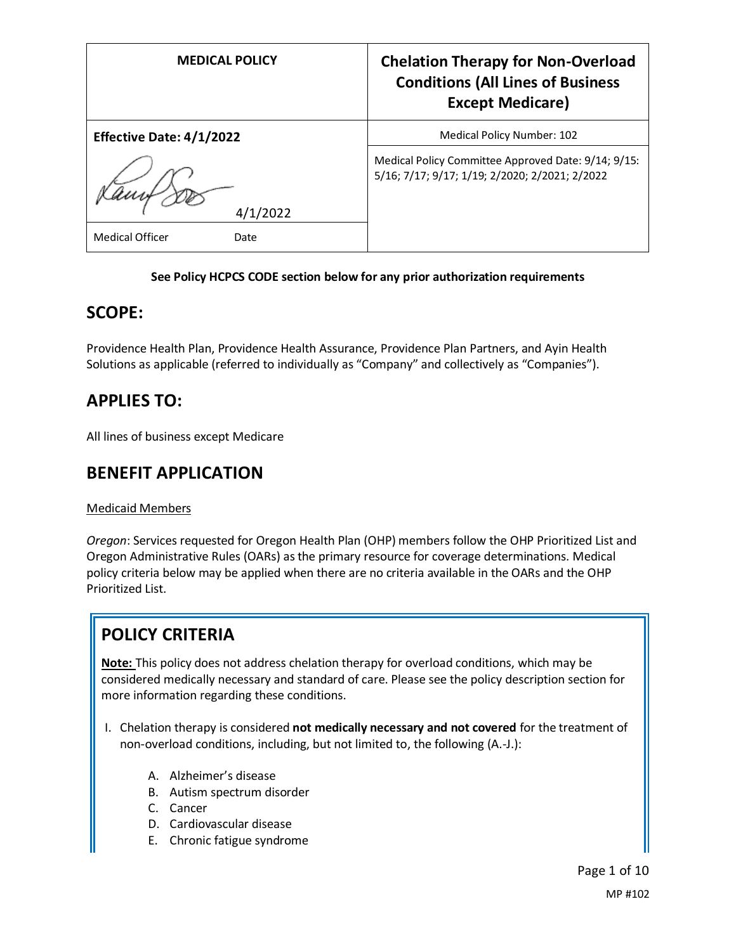| <b>MEDICAL POLICY</b>           | <b>Chelation Therapy for Non-Overload</b><br><b>Conditions (All Lines of Business</b><br><b>Except Medicare)</b> |
|---------------------------------|------------------------------------------------------------------------------------------------------------------|
| <b>Effective Date: 4/1/2022</b> | Medical Policy Number: 102                                                                                       |
| 4/1/2022                        | Medical Policy Committee Approved Date: 9/14; 9/15:<br>5/16; 7/17; 9/17; 1/19; 2/2020; 2/2021; 2/2022            |
| <b>Medical Officer</b><br>Date  |                                                                                                                  |

## **See Policy HCPCS CODE section below for any prior authorization requirements**

## **SCOPE:**

Providence Health Plan, Providence Health Assurance, Providence Plan Partners, and Ayin Health Solutions as applicable (referred to individually as "Company" and collectively as "Companies").

# **APPLIES TO:**

All lines of business except Medicare

# **BENEFIT APPLICATION**

## Medicaid Members

*Oregon*: Services requested for Oregon Health Plan (OHP) members follow the OHP Prioritized List and Oregon Administrative Rules (OARs) as the primary resource for coverage determinations. Medical policy criteria below may be applied when there are no criteria available in the OARs and the OHP Prioritized List.

# **POLICY CRITERIA**

**Note:** This policy does not address chelation therapy for overload conditions, which may be considered medically necessary and standard of care. Please see the policy description section for more information regarding these conditions.

- I. Chelation therapy is considered **not medically necessary and not covered** for the treatment of non-overload conditions, including, but not limited to, the following (A.-J.):
	- A. Alzheimer's disease
	- B. Autism spectrum disorder
	- C. Cancer
	- D. Cardiovascular disease
	- E. Chronic fatigue syndrome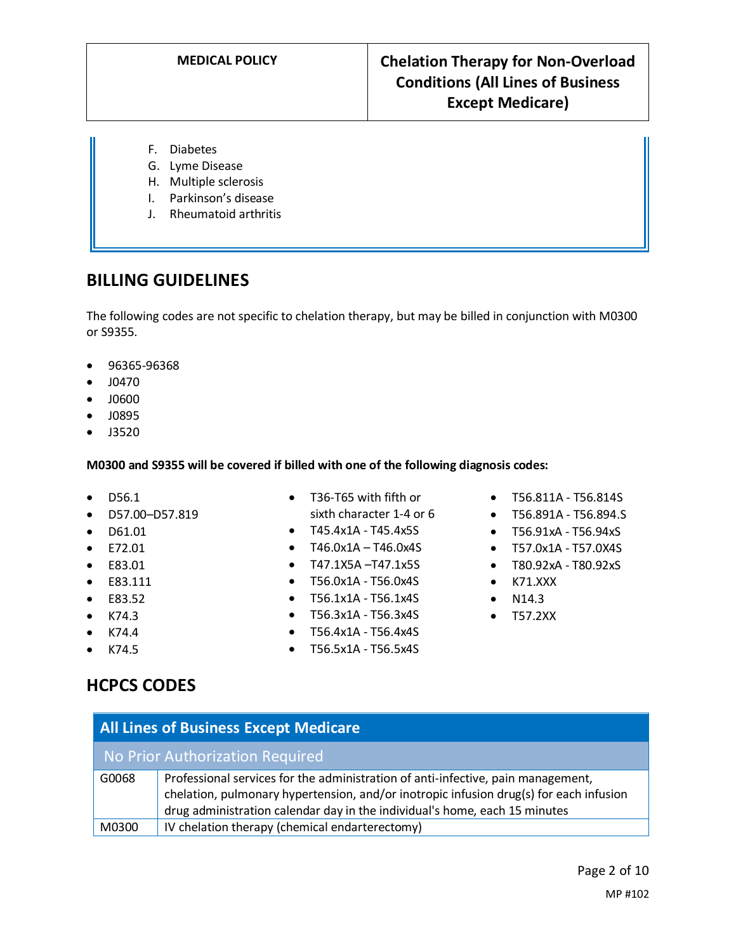- F. Diabetes
- G. Lyme Disease
- H. Multiple sclerosis
- I. Parkinson's disease
- J. Rheumatoid arthritis

## **BILLING GUIDELINES**

The following codes are not specific to chelation therapy, but may be billed in conjunction with M0300 or S9355.

- 96365-96368
- J0470
- J0600
- J0895
- J3520

## **M0300 and S9355 will be covered if billed with one of the following diagnosis codes:**

- D56.1
- D57.00–D57.819
- D61.01
- E72.01
- E83.01
- E83.111
- E83.52
- $\bullet$  K74.3
- $\bullet$  K74.4
- K74.5
- T36-T65 with fifth or sixth character 1-4 or 6
- T45.4x1A T45.4x5S
- T46.0x1A T46.0x4S
- T47.1X5A –T47.1x5S
- T56.0x1A T56.0x4S
- T56.1x1A T56.1x4S
- T56.3x1A T56.3x4S
- T56.4x1A T56.4x4S
- T56.5x1A T56.5x4S
- T56.811A T56.814S
- T56.891A T56.894.S
- T56.91xA T56.94xS
- T57.0x1A T57.0X4S
- T80.92xA T80.92xS
- K71.XXX
- N14.3
- T57.2XX

# **HCPCS CODES**

| <b>All Lines of Business Except Medicare</b> |                                                                                                                                                                                                                                                          |  |
|----------------------------------------------|----------------------------------------------------------------------------------------------------------------------------------------------------------------------------------------------------------------------------------------------------------|--|
| No Prior Authorization Required              |                                                                                                                                                                                                                                                          |  |
| G0068                                        | Professional services for the administration of anti-infective, pain management,<br>chelation, pulmonary hypertension, and/or inotropic infusion drug(s) for each infusion<br>drug administration calendar day in the individual's home, each 15 minutes |  |
| M0300                                        | IV chelation therapy (chemical endarterectomy)                                                                                                                                                                                                           |  |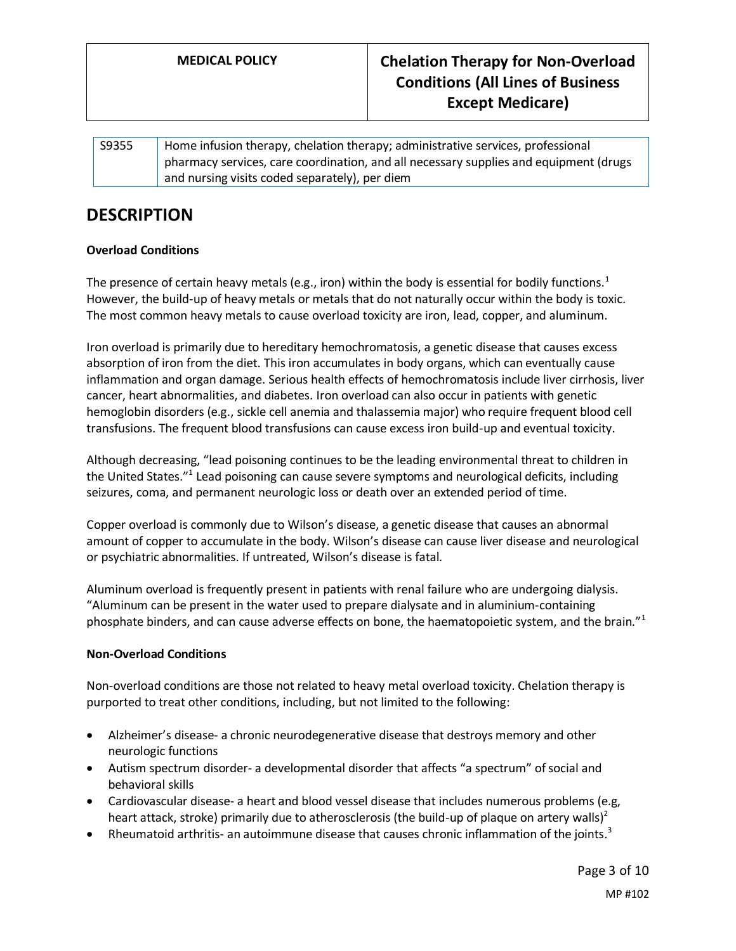| S9355 | Home infusion therapy, chelation therapy; administrative services, professional              |
|-------|----------------------------------------------------------------------------------------------|
|       | $\Box$ pharmacy services, care coordination, and all necessary supplies and equipment (drugs |
|       | and nursing visits coded separately), per diem                                               |

# **DESCRIPTION**

## **Overload Conditions**

The presence of certain heavy metals (e.g., iron) within the body is essential for bodily functions.<sup>1</sup> However, the build-up of heavy metals or metals that do not naturally occur within the body is toxic. The most common heavy metals to cause overload toxicity are iron, lead, copper, and aluminum.

Iron overload is primarily due to hereditary hemochromatosis, a genetic disease that causes excess absorption of iron from the diet. This iron accumulates in body organs, which can eventually cause inflammation and organ damage. Serious health effects of hemochromatosis include liver cirrhosis, liver cancer, heart abnormalities, and diabetes. Iron overload can also occur in patients with genetic hemoglobin disorders (e.g., sickle cell anemia and thalassemia major) who require frequent blood cell transfusions. The frequent blood transfusions can cause excess iron build-up and eventual toxicity.

Although decreasing, "lead poisoning continues to be the leading environmental threat to children in the United States."<sup>1</sup> Lead poisoning can cause severe symptoms and neurological deficits, including seizures, coma, and permanent neurologic loss or death over an extended period of time.

Copper overload is commonly due to Wilson's disease, a genetic disease that causes an abnormal amount of copper to accumulate in the body. Wilson's disease can cause liver disease and neurological or psychiatric abnormalities. If untreated, Wilson's disease is fatal.

Aluminum overload is frequently present in patients with renal failure who are undergoing dialysis. "Aluminum can be present in the water used to prepare dialysate and in aluminium-containing phosphate binders, and can cause adverse effects on bone, the haematopoietic system, and the brain."<sup>1</sup>

## **Non-Overload Conditions**

Non-overload conditions are those not related to heavy metal overload toxicity. Chelation therapy is purported to treat other conditions, including, but not limited to the following:

- Alzheimer's disease- a chronic neurodegenerative disease that destroys memory and other neurologic functions
- Autism spectrum disorder- a developmental disorder that affects "a spectrum" of social and behavioral skills
- Cardiovascular disease- a heart and blood vessel disease that includes numerous problems (e.g, heart attack, stroke) primarily due to atherosclerosis (the build-up of plaque on artery walls)<sup>2</sup>
- Rheumatoid arthritis- an autoimmune disease that causes chronic inflammation of the joints.<sup>3</sup>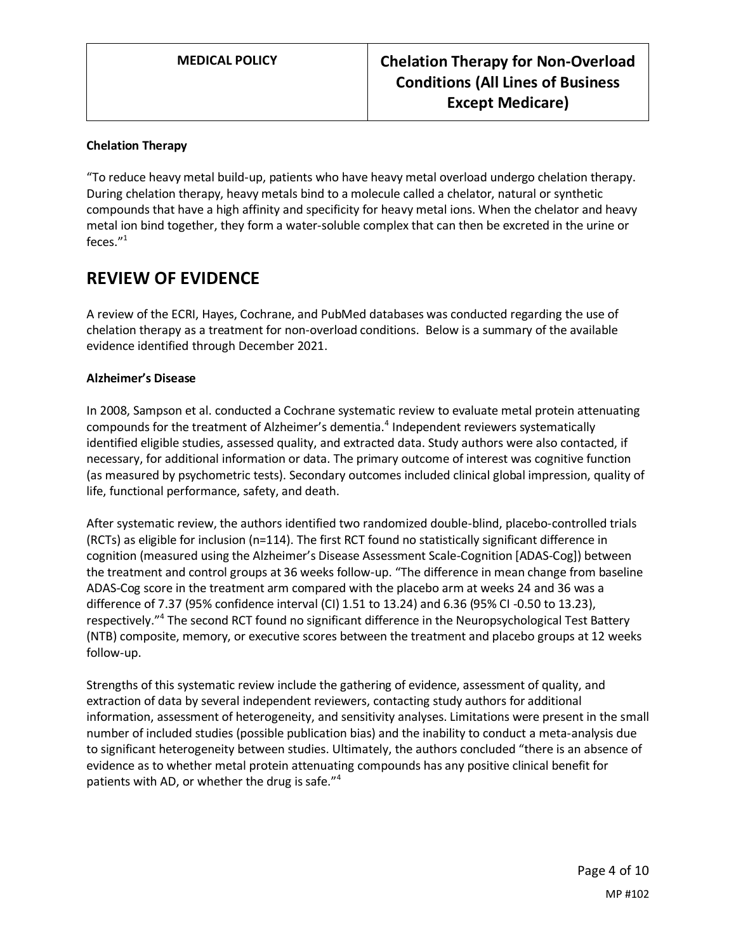## **Chelation Therapy**

"To reduce heavy metal build-up, patients who have heavy metal overload undergo chelation therapy. During chelation therapy, heavy metals bind to a molecule called a chelator, natural or synthetic compounds that have a high affinity and specificity for heavy metal ions. When the chelator and heavy metal ion bind together, they form a water-soluble complex that can then be excreted in the urine or feces."<sup>1</sup>

## **REVIEW OF EVIDENCE**

A review of the ECRI, Hayes, Cochrane, and PubMed databases was conducted regarding the use of chelation therapy as a treatment for non-overload conditions. Below is a summary of the available evidence identified through December 2021.

#### **Alzheimer's Disease**

In 2008, Sampson et al. conducted a Cochrane systematic review to evaluate metal protein attenuating compounds for the treatment of Alzheimer's dementia.<sup>4</sup> Independent reviewers systematically identified eligible studies, assessed quality, and extracted data. Study authors were also contacted, if necessary, for additional information or data. The primary outcome of interest was cognitive function (as measured by psychometric tests). Secondary outcomes included clinical global impression, quality of life, functional performance, safety, and death.

After systematic review, the authors identified two randomized double-blind, placebo-controlled trials (RCTs) as eligible for inclusion (n=114). The first RCT found no statistically significant difference in cognition (measured using the Alzheimer's Disease Assessment Scale-Cognition [ADAS-Cog]) between the treatment and control groups at 36 weeks follow-up. "The difference in mean change from baseline ADAS-Cog score in the treatment arm compared with the placebo arm at weeks 24 and 36 was a difference of 7.37 (95% confidence interval (CI) 1.51 to 13.24) and 6.36 (95% CI -0.50 to 13.23), respectively."<sup>4</sup> The second RCT found no significant difference in the Neuropsychological Test Battery (NTB) composite, memory, or executive scores between the treatment and placebo groups at 12 weeks follow-up.

Strengths of this systematic review include the gathering of evidence, assessment of quality, and extraction of data by several independent reviewers, contacting study authors for additional information, assessment of heterogeneity, and sensitivity analyses. Limitations were present in the small number of included studies (possible publication bias) and the inability to conduct a meta-analysis due to significant heterogeneity between studies. Ultimately, the authors concluded "there is an absence of evidence as to whether metal protein attenuating compounds has any positive clinical benefit for patients with AD, or whether the drug is safe."<sup>4</sup>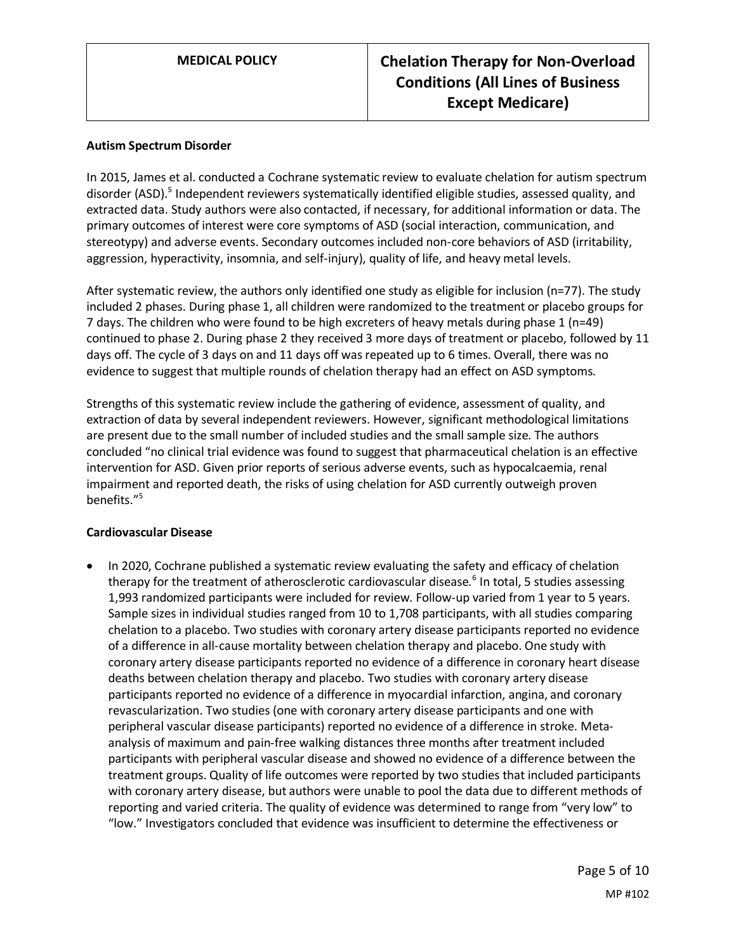#### **Autism Spectrum Disorder**

In 2015, James et al. conducted a Cochrane systematic review to evaluate chelation for autism spectrum disorder (ASD).<sup>5</sup> Independent reviewers systematically identified eligible studies, assessed quality, and extracted data. Study authors were also contacted, if necessary, for additional information or data. The primary outcomes of interest were core symptoms of ASD (social interaction, communication, and stereotypy) and adverse events. Secondary outcomes included non-core behaviors of ASD (irritability, aggression, hyperactivity, insomnia, and self-injury), quality of life, and heavy metal levels.

After systematic review, the authors only identified one study as eligible for inclusion (n=77). The study included 2 phases. During phase 1, all children were randomized to the treatment or placebo groups for 7 days. The children who were found to be high excreters of heavy metals during phase 1 (n=49) continued to phase 2. During phase 2 they received 3 more days of treatment or placebo, followed by 11 days off. The cycle of 3 days on and 11 days off was repeated up to 6 times. Overall, there was no evidence to suggest that multiple rounds of chelation therapy had an effect on ASD symptoms.

Strengths of this systematic review include the gathering of evidence, assessment of quality, and extraction of data by several independent reviewers. However, significant methodological limitations are present due to the small number of included studies and the small sample size. The authors concluded "no clinical trial evidence was found to suggest that pharmaceutical chelation is an effective intervention for ASD. Given prior reports of serious adverse events, such as hypocalcaemia, renal impairment and reported death, the risks of using chelation for ASD currently outweigh proven benefits."<sup>5</sup>

#### **Cardiovascular Disease**

• In 2020, Cochrane published a systematic review evaluating the safety and efficacy of chelation therapy for the treatment of atherosclerotic cardiovascular disease.<sup>6</sup> In total, 5 studies assessing 1,993 randomized participants were included for review. Follow-up varied from 1 year to 5 years. Sample sizes in individual studies ranged from 10 to 1,708 participants, with all studies comparing chelation to a placebo. Two studies with coronary artery disease participants reported no evidence of a difference in all‐cause mortality between chelation therapy and placebo. One study with coronary artery disease participants reported no evidence of a difference in coronary heart disease deaths between chelation therapy and placebo. Two studies with coronary artery disease participants reported no evidence of a difference in myocardial infarction, angina, and coronary revascularization. Two studies (one with coronary artery disease participants and one with peripheral vascular disease participants) reported no evidence of a difference in stroke. Metaanalysis of maximum and pain‐free walking distances three months after treatment included participants with peripheral vascular disease and showed no evidence of a difference between the treatment groups. Quality of life outcomes were reported by two studies that included participants with coronary artery disease, but authors were unable to pool the data due to different methods of reporting and varied criteria. The quality of evidence was determined to range from "very low" to "low." Investigators concluded that evidence was insufficient to determine the effectiveness or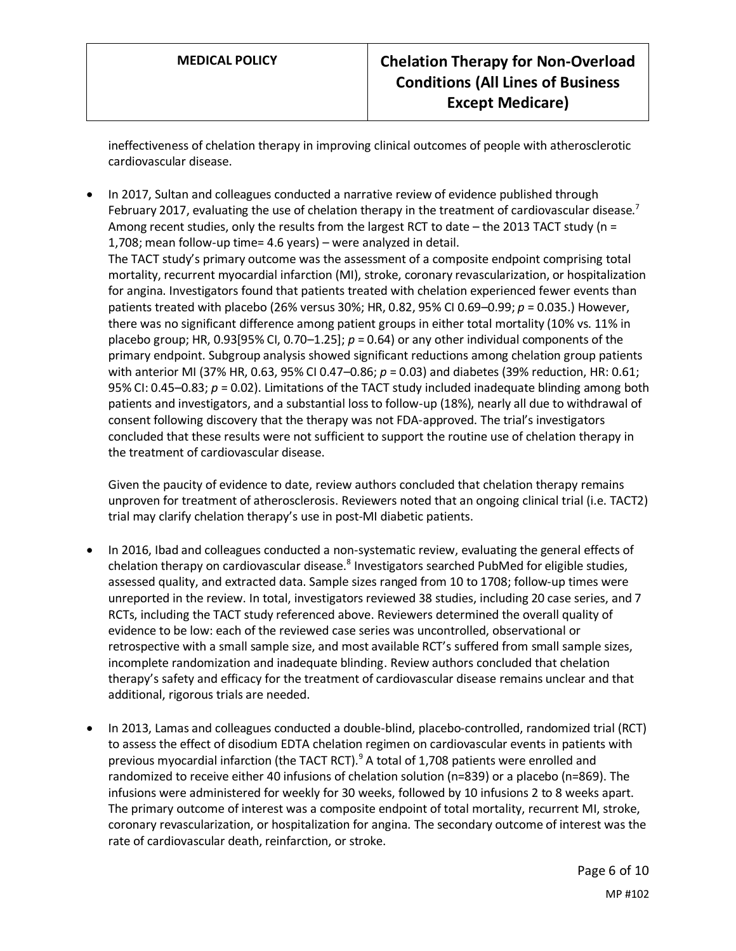ineffectiveness of chelation therapy in improving clinical outcomes of people with atherosclerotic cardiovascular disease.

• In 2017, Sultan and colleagues conducted a narrative review of evidence published through February 2017, evaluating the use of chelation therapy in the treatment of cardiovascular disease.<sup>7</sup> Among recent studies, only the results from the largest RCT to date – the 2013 TACT study ( $n =$ 1,708; mean follow-up time= 4.6 years) – were analyzed in detail. The TACT study's primary outcome was the assessment of a composite endpoint comprising total mortality, recurrent myocardial infarction (MI), stroke, coronary revascularization, or hospitalization for angina. Investigators found that patients treated with chelation experienced fewer events than patients treated with placebo (26% versus 30%; HR, 0.82, 95% CI 0.69–0.99; *p* = 0.035.) However, there was no significant difference among patient groups in either total mortality (10% vs. 11% in placebo group; HR, 0.93[95% CI, 0.70–1.25]; *p* = 0.64) or any other individual components of the primary endpoint. Subgroup analysis showed significant reductions among chelation group patients with anterior MI (37% HR, 0.63, 95% CI 0.47–0.86; *p* = 0.03) and diabetes (39% reduction, HR: 0.61; 95% CI: 0.45–0.83; *p* = 0.02). Limitations of the TACT study included inadequate blinding among both patients and investigators, and a substantial loss to follow-up (18%), nearly all due to withdrawal of consent following discovery that the therapy was not FDA-approved. The trial's investigators concluded that these results were not sufficient to support the routine use of chelation therapy in the treatment of cardiovascular disease.

Given the paucity of evidence to date, review authors concluded that chelation therapy remains unproven for treatment of atherosclerosis. Reviewers noted that an ongoing clinical trial (i.e. TACT2) trial may clarify chelation therapy's use in post-MI diabetic patients.

- In 2016, Ibad and colleagues conducted a non-systematic review, evaluating the general effects of chelation therapy on cardiovascular disease.<sup>8</sup> Investigators searched PubMed for eligible studies, assessed quality, and extracted data. Sample sizes ranged from 10 to 1708; follow-up times were unreported in the review. In total, investigators reviewed 38 studies, including 20 case series, and 7 RCTs, including the TACT study referenced above. Reviewers determined the overall quality of evidence to be low: each of the reviewed case series was uncontrolled, observational or retrospective with a small sample size, and most available RCT's suffered from small sample sizes, incomplete randomization and inadequate blinding. Review authors concluded that chelation therapy's safety and efficacy for the treatment of cardiovascular disease remains unclear and that additional, rigorous trials are needed.
- In 2013, Lamas and colleagues conducted a double-blind, placebo-controlled, randomized trial (RCT) to assess the effect of disodium EDTA chelation regimen on cardiovascular events in patients with previous myocardial infarction (the TACT RCT). $9$  A total of 1,708 patients were enrolled and randomized to receive either 40 infusions of chelation solution (n=839) or a placebo (n=869). The infusions were administered for weekly for 30 weeks, followed by 10 infusions 2 to 8 weeks apart. The primary outcome of interest was a composite endpoint of total mortality, recurrent MI, stroke, coronary revascularization, or hospitalization for angina. The secondary outcome of interest was the rate of cardiovascular death, reinfarction, or stroke.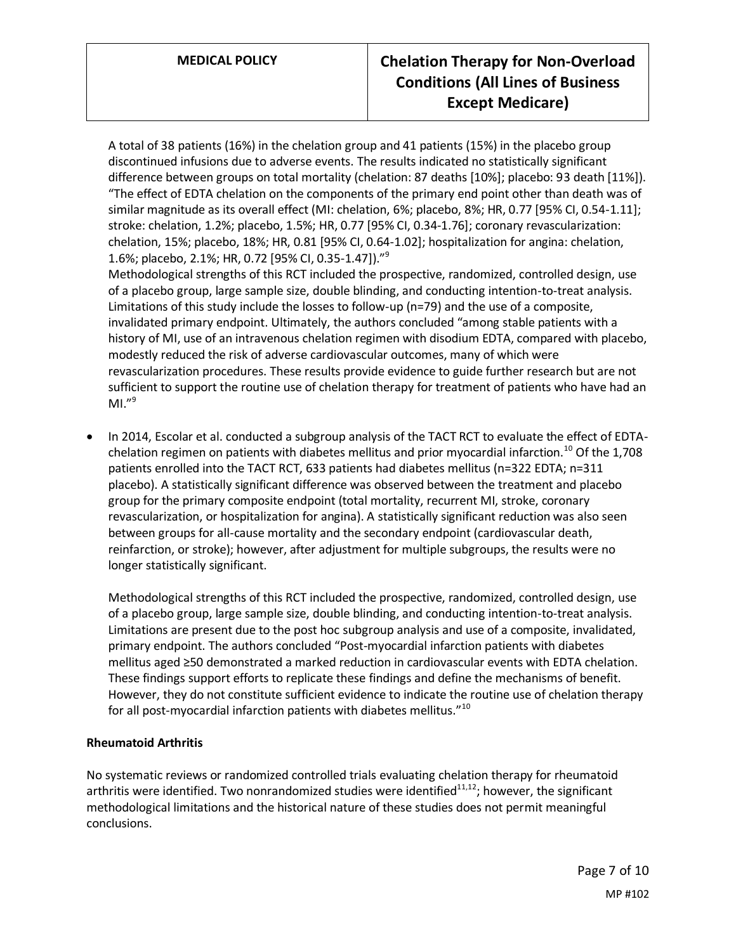A total of 38 patients (16%) in the chelation group and 41 patients (15%) in the placebo group discontinued infusions due to adverse events. The results indicated no statistically significant difference between groups on total mortality (chelation: 87 deaths [10%]; placebo: 93 death [11%]). "The effect of EDTA chelation on the components of the primary end point other than death was of similar magnitude as its overall effect (MI: chelation, 6%; placebo, 8%; HR, 0.77 [95% CI, 0.54-1.11]; stroke: chelation, 1.2%; placebo, 1.5%; HR, 0.77 [95% CI, 0.34-1.76]; coronary revascularization: chelation, 15%; placebo, 18%; HR, 0.81 [95% CI, 0.64-1.02]; hospitalization for angina: chelation, 1.6%; placebo, 2.1%; HR, 0.72 [95% CI, 0.35-1.47])."<sup>9</sup>

Methodological strengths of this RCT included the prospective, randomized, controlled design, use of a placebo group, large sample size, double blinding, and conducting intention-to-treat analysis. Limitations of this study include the losses to follow-up (n=79) and the use of a composite, invalidated primary endpoint. Ultimately, the authors concluded "among stable patients with a history of MI, use of an intravenous chelation regimen with disodium EDTA, compared with placebo, modestly reduced the risk of adverse cardiovascular outcomes, many of which were revascularization procedures. These results provide evidence to guide further research but are not sufficient to support the routine use of chelation therapy for treatment of patients who have had an  $MI."<sup>9</sup>$ 

• In 2014, Escolar et al. conducted a subgroup analysis of the TACT RCT to evaluate the effect of EDTAchelation regimen on patients with diabetes mellitus and prior myocardial infarction.<sup>10</sup> Of the 1,708 patients enrolled into the TACT RCT, 633 patients had diabetes mellitus (n=322 EDTA; n=311 placebo). A statistically significant difference was observed between the treatment and placebo group for the primary composite endpoint (total mortality, recurrent MI, stroke, coronary revascularization, or hospitalization for angina). A statistically significant reduction was also seen between groups for all-cause mortality and the secondary endpoint (cardiovascular death, reinfarction, or stroke); however, after adjustment for multiple subgroups, the results were no longer statistically significant.

Methodological strengths of this RCT included the prospective, randomized, controlled design, use of a placebo group, large sample size, double blinding, and conducting intention-to-treat analysis. Limitations are present due to the post hoc subgroup analysis and use of a composite, invalidated, primary endpoint. The authors concluded "Post-myocardial infarction patients with diabetes mellitus aged ≥50 demonstrated a marked reduction in cardiovascular events with EDTA chelation. These findings support efforts to replicate these findings and define the mechanisms of benefit. However, they do not constitute sufficient evidence to indicate the routine use of chelation therapy for all post-myocardial infarction patients with diabetes mellitus."<sup>10</sup>

## **Rheumatoid Arthritis**

No systematic reviews or randomized controlled trials evaluating chelation therapy for rheumatoid arthritis were identified. Two nonrandomized studies were identified $11,12$ ; however, the significant methodological limitations and the historical nature of these studies does not permit meaningful conclusions.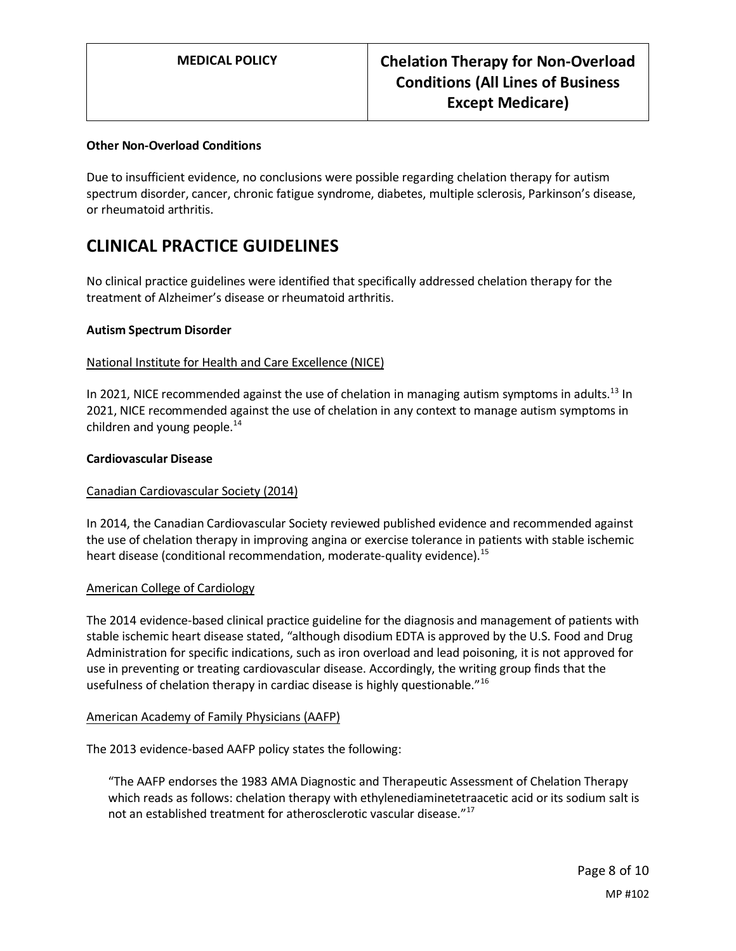#### **Other Non-Overload Conditions**

Due to insufficient evidence, no conclusions were possible regarding chelation therapy for autism spectrum disorder, cancer, chronic fatigue syndrome, diabetes, multiple sclerosis, Parkinson's disease, or rheumatoid arthritis.

# **CLINICAL PRACTICE GUIDELINES**

No clinical practice guidelines were identified that specifically addressed chelation therapy for the treatment of Alzheimer's disease or rheumatoid arthritis.

#### **Autism Spectrum Disorder**

#### National Institute for Health and Care Excellence (NICE)

In 2021, NICE recommended against the use of chelation in managing autism symptoms in adults.<sup>13</sup> In 2021, NICE recommended against the use of chelation in any context to manage autism symptoms in children and young people. $14$ 

#### **Cardiovascular Disease**

#### Canadian Cardiovascular Society (2014)

In 2014, the Canadian Cardiovascular Society reviewed published evidence and recommended against the use of chelation therapy in improving angina or exercise tolerance in patients with stable ischemic heart disease (conditional recommendation, moderate-quality evidence).<sup>15</sup>

#### American College of Cardiology

The 2014 evidence-based clinical practice guideline for the diagnosis and management of patients with stable ischemic heart disease stated, "although disodium EDTA is approved by the U.S. Food and Drug Administration for specific indications, such as iron overload and lead poisoning, it is not approved for use in preventing or treating cardiovascular disease. Accordingly, the writing group finds that the usefulness of chelation therapy in cardiac disease is highly questionable."<sup>16</sup>

#### American Academy of Family Physicians (AAFP)

The 2013 evidence-based AAFP policy states the following:

"The AAFP endorses the 1983 AMA Diagnostic and Therapeutic Assessment of Chelation Therapy which reads as follows: chelation therapy with ethylenediaminetetraacetic acid or its sodium salt is not an established treatment for atherosclerotic vascular disease."<sup>17</sup>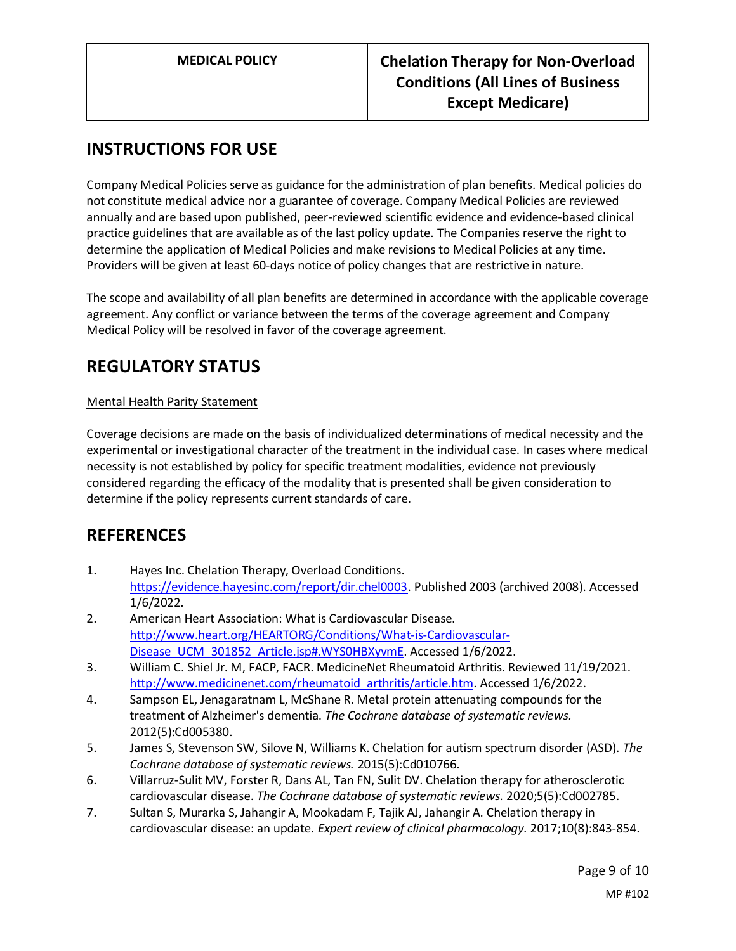# **INSTRUCTIONS FOR USE**

Company Medical Policies serve as guidance for the administration of plan benefits. Medical policies do not constitute medical advice nor a guarantee of coverage. Company Medical Policies are reviewed annually and are based upon published, peer-reviewed scientific evidence and evidence-based clinical practice guidelines that are available as of the last policy update. The Companies reserve the right to determine the application of Medical Policies and make revisions to Medical Policies at any time. Providers will be given at least 60-days notice of policy changes that are restrictive in nature.

The scope and availability of all plan benefits are determined in accordance with the applicable coverage agreement. Any conflict or variance between the terms of the coverage agreement and Company Medical Policy will be resolved in favor of the coverage agreement.

# **REGULATORY STATUS**

## Mental Health Parity Statement

Coverage decisions are made on the basis of individualized determinations of medical necessity and the experimental or investigational character of the treatment in the individual case. In cases where medical necessity is not established by policy for specific treatment modalities, evidence not previously considered regarding the efficacy of the modality that is presented shall be given consideration to determine if the policy represents current standards of care.

## **REFERENCES**

- 1. Hayes Inc. Chelation Therapy, Overload Conditions. [https://evidence.hayesinc.com/report/dir.chel0003.](https://evidence.hayesinc.com/report/dir.chel0003) Published 2003 (archived 2008). Accessed 1/6/2022.
- 2. American Heart Association: What is Cardiovascular Disease. [http://www.heart.org/HEARTORG/Conditions/What-is-Cardiovascular-](http://www.heart.org/HEARTORG/Conditions/What-is-Cardiovascular-Disease_UCM_301852_Article.jsp#.WYS0HBXyvmE)[Disease\\_UCM\\_301852\\_Article.jsp#.WYS0HBXyvmE.](http://www.heart.org/HEARTORG/Conditions/What-is-Cardiovascular-Disease_UCM_301852_Article.jsp#.WYS0HBXyvmE) Accessed 1/6/2022.
- 3. William C. Shiel Jr. M, FACP, FACR. MedicineNet Rheumatoid Arthritis. Reviewed 11/19/2021. [http://www.medicinenet.com/rheumatoid\\_arthritis/article.htm.](http://www.medicinenet.com/rheumatoid_arthritis/article.htm) Accessed 1/6/2022.
- 4. Sampson EL, Jenagaratnam L, McShane R. Metal protein attenuating compounds for the treatment of Alzheimer's dementia. *The Cochrane database of systematic reviews.*  2012(5):Cd005380.
- 5. James S, Stevenson SW, Silove N, Williams K. Chelation for autism spectrum disorder (ASD). *The Cochrane database of systematic reviews.* 2015(5):Cd010766.
- 6. Villarruz-Sulit MV, Forster R, Dans AL, Tan FN, Sulit DV. Chelation therapy for atherosclerotic cardiovascular disease. *The Cochrane database of systematic reviews.* 2020;5(5):Cd002785.
- 7. Sultan S, Murarka S, Jahangir A, Mookadam F, Tajik AJ, Jahangir A. Chelation therapy in cardiovascular disease: an update. *Expert review of clinical pharmacology.* 2017;10(8):843-854.